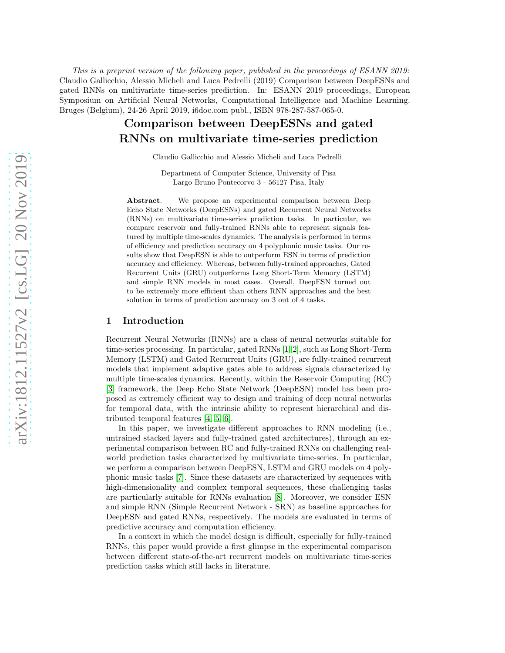This is a preprint version of the following paper, published in the proceedings of ESANN 2019: Claudio Gallicchio, Alessio Micheli and Luca Pedrelli (2019) Comparison between DeepESNs and gated RNNs on multivariate time-series prediction. In: ESANN 2019 proceedings, European Symposium on Artificial Neural Networks, Computational Intelligence and Machine Learning. Bruges (Belgium), 24-26 April 2019, i6doc.com publ., ISBN 978-287-587-065-0.

# Comparison between DeepESNs and gated RNNs on multivariate time-series prediction

Claudio Gallicchio and Alessio Micheli and Luca Pedrelli

Department of Computer Science, University of Pisa Largo Bruno Pontecorvo 3 - 56127 Pisa, Italy

Abstract. We propose an experimental comparison between Deep Echo State Networks (DeepESNs) and gated Recurrent Neural Networks (RNNs) on multivariate time-series prediction tasks. In particular, we compare reservoir and fully-trained RNNs able to represent signals featured by multiple time-scales dynamics. The analysis is performed in terms of efficiency and prediction accuracy on 4 polyphonic music tasks. Our results show that DeepESN is able to outperform ESN in terms of prediction accuracy and efficiency. Whereas, between fully-trained approaches, Gated Recurrent Units (GRU) outperforms Long Short-Term Memory (LSTM) and simple RNN models in most cases. Overall, DeepESN turned out to be extremely more efficient than others RNN approaches and the best solution in terms of prediction accuracy on 3 out of 4 tasks.

# 1 Introduction

Recurrent Neural Networks (RNNs) are a class of neural networks suitable for time-series processing. In particular, gated RNNs [\[1,](#page-5-0) [2\]](#page-5-1), such as Long Short-Term Memory (LSTM) and Gated Recurrent Units (GRU), are fully-trained recurrent models that implement adaptive gates able to address signals characterized by multiple time-scales dynamics. Recently, within the Reservoir Computing (RC) [\[3\]](#page-5-2) framework, the Deep Echo State Network (DeepESN) model has been proposed as extremely efficient way to design and training of deep neural networks for temporal data, with the intrinsic ability to represent hierarchical and distributed temporal features [\[4,](#page-5-3) [5,](#page-5-4) [6\]](#page-5-5).

In this paper, we investigate different approaches to RNN modeling (i.e., untrained stacked layers and fully-trained gated architectures), through an experimental comparison between RC and fully-trained RNNs on challenging realworld prediction tasks characterized by multivariate time-series. In particular, we perform a comparison between DeepESN, LSTM and GRU models on 4 polyphonic music tasks [\[7\]](#page-5-6). Since these datasets are characterized by sequences with high-dimensionality and complex temporal sequences, these challenging tasks are particularly suitable for RNNs evaluation [\[8\]](#page-5-7). Moreover, we consider ESN and simple RNN (Simple Recurrent Network - SRN) as baseline approaches for DeepESN and gated RNNs, respectively. The models are evaluated in terms of predictive accuracy and computation efficiency.

In a context in which the model design is difficult, especially for fully-trained RNNs, this paper would provide a first glimpse in the experimental comparison between different state-of-the-art recurrent models on multivariate time-series prediction tasks which still lacks in literature.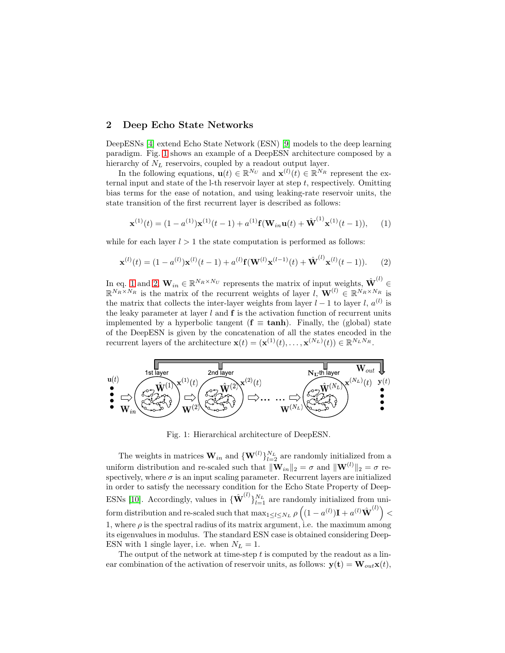# 2 Deep Echo State Networks

DeepESNs [\[4\]](#page-5-3) extend Echo State Network (ESN) [\[9\]](#page-5-8) models to the deep learning paradigm. Fig. [1](#page-1-0) shows an example of a DeepESN architecture composed by a hierarchy of  $N_L$  reservoirs, coupled by a readout output layer.

In the following equations,  $\mathbf{u}(t) \in \mathbb{R}^{N_U}$  and  $\mathbf{x}^{(l)}(t) \in \mathbb{R}^{N_R}$  represent the external input and state of the  $l$ -th reservoir layer at step t, respectively. Omitting bias terms for the ease of notation, and using leaking-rate reservoir units, the state transition of the first recurrent layer is described as follows:

<span id="page-1-1"></span>
$$
\mathbf{x}^{(1)}(t) = (1 - a^{(1)})\mathbf{x}^{(1)}(t-1) + a^{(1)}\mathbf{f}(\mathbf{W}_{in}\mathbf{u}(t) + \hat{\mathbf{W}}^{(1)}\mathbf{x}^{(1)}(t-1)),
$$
 (1)

while for each layer  $l > 1$  the state computation is performed as follows:

<span id="page-1-2"></span>
$$
\mathbf{x}^{(l)}(t) = (1 - a^{(l)})\mathbf{x}^{(l)}(t-1) + a^{(l)}\mathbf{f}(\mathbf{W}^{(l)}\mathbf{x}^{(l-1)}(t) + \mathbf{\hat{W}}^{(l)}\mathbf{x}^{(l)}(t-1)).
$$
 (2)

In eq. [1](#page-1-1) and [2,](#page-1-2)  $\mathbf{W}_{in} \in \mathbb{R}^{N_R \times N_U}$  represents the matrix of input weights,  $\hat{\mathbf{W}}^{(l)}$   $\in$  $\mathbb{R}^{N_R \times N_R}$  is the matrix of the recurrent weights of layer  $l, \mathbf{W}^{(l)} \in \mathbb{R}^{N_R \times N_R}$  is the matrix that collects the inter-layer weights from layer  $l-1$  to layer  $l, a^{(l)}$  is the leaky parameter at layer  $l$  and  $f$  is the activation function of recurrent units implemented by a hyperbolic tangent ( $f \equiv \tanh$ ). Finally, the (global) state of the DeepESN is given by the concatenation of all the states encoded in the recurrent layers of the architecture  $\mathbf{x}(t) = (\mathbf{x}^{(1)}(t), \dots, \mathbf{x}^{(N_L)}(t)) \in \mathbb{R}^{N_L N_R}$ .

<span id="page-1-0"></span>

Fig. 1: Hierarchical architecture of DeepESN.

The weights in matrices  $\mathbf{W}_{in}$  and  $\{\mathbf{W}^{(l)}\}_{l=2}^{N_L}$  are randomly initialized from a uniform distribution and re-scaled such that  $\|\mathbf{W}_{in}\|_2 = \sigma$  and  $\|\mathbf{W}^{(l)}\|_2 = \sigma$  respectively, where  $\sigma$  is an input scaling parameter. Recurrent layers are initialized in order to satisfy the necessary condition for the Echo State Property of Deep-ESNs [\[10\]](#page-5-9). Accordingly, values in  $\{\hat{\mathbf{W}}^{(l)}\}_{l=1}^{N_L}$  are randomly initialized from uniform distribution and re-scaled such that  $\max_{1 \leq l \leq N_L} \rho \left( (1 - a^{(l)}) \mathbf{I} + a^{(l)} \hat{\mathbf{W}}^{(l)} \right)$ 1, where  $\rho$  is the spectral radius of its matrix argument, i.e. the maximum among its eigenvalues in modulus. The standard ESN case is obtained considering Deep-ESN with 1 single layer, i.e. when  $N_L = 1$ .

The output of the network at time-step  $t$  is computed by the readout as a linear combination of the activation of reservoir units, as follows:  $\mathbf{y}(\mathbf{t}) = \mathbf{W}_{out}\mathbf{x}(t)$ ,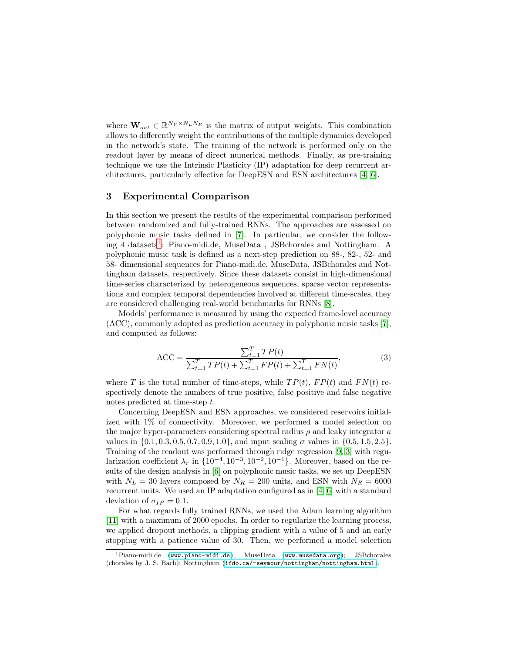where  $\mathbf{W}_{out} \in \mathbb{R}^{N_Y \times N_L N_R}$  is the matrix of output weights. This combination allows to differently weight the contributions of the multiple dynamics developed in the network's state. The training of the network is performed only on the readout layer by means of direct numerical methods. Finally, as pre-training technique we use the Intrinsic Plasticity (IP) adaptation for deep recurrent architectures, particularly effective for DeepESN and ESN architectures [\[4,](#page-5-3) [6\]](#page-5-5).

# 3 Experimental Comparison

In this section we present the results of the experimental comparison performed between randomized and fully-trained RNNs. The approaches are assessed on polyphonic music tasks defined in [\[7\]](#page-5-6). In particular, we consider the follow-ing 4 datasets<sup>[1](#page-2-0)</sup>: Piano-midi.de, MuseData, JSBchorales and Nottingham. A polyphonic music task is defined as a next-step prediction on 88-, 82-, 52- and 58- dimensional sequences for Piano-midi.de, MuseData, JSBchorales and Nottingham datasets, respectively. Since these datasets consist in high-dimensional time-series characterized by heterogeneous sequences, sparse vector representations and complex temporal dependencies involved at different time-scales, they are considered challenging real-world benchmarks for RNNs [\[8\]](#page-5-7).

Models' performance is measured by using the expected frame-level accuracy (ACC), commonly adopted as prediction accuracy in polyphonic music tasks [\[7\]](#page-5-6), and computed as follows:

$$
ACC = \frac{\sum_{t=1}^{T} TP(t)}{\sum_{t=1}^{T} TP(t) + \sum_{t=1}^{T} FP(t) + \sum_{t=1}^{T} FN(t)},
$$
\n(3)

where T is the total number of time-steps, while  $TP(t)$ ,  $FP(t)$  and  $FN(t)$  respectively denote the numbers of true positive, false positive and false negative notes predicted at time-step t.

Concerning DeepESN and ESN approaches, we considered reservoirs initialized with 1% of connectivity. Moreover, we performed a model selection on the major hyper-parameters considering spectral radius  $\rho$  and leaky integrator  $\alpha$ values in  $\{0.1, 0.3, 0.5, 0.7, 0.9, 1.0\}$ , and input scaling  $\sigma$  values in  $\{0.5, 1.5, 2.5\}$ . Training of the readout was performed through ridge regression [\[9,](#page-5-8) [3\]](#page-5-2) with regularization coefficient  $\lambda_r$  in  $\{10^{-4}, 10^{-3}, 10^{-2}, 10^{-1}\}\$ . Moreover, based on the results of the design analysis in [\[6\]](#page-5-5) on polyphonic music tasks, we set up DeepESN with  $N_L = 30$  layers composed by  $N_R = 200$  units, and ESN with  $N_R = 6000$ recurrent units. We used an IP adaptation configured as in [\[4,](#page-5-3) [6\]](#page-5-5) with a standard deviation of  $\sigma_{IP} = 0.1$ .

For what regards fully trained RNNs, we used the Adam learning algorithm [\[11\]](#page-5-10) with a maximum of 2000 epochs. In order to regularize the learning process, we applied dropout methods, a clipping gradient with a value of 5 and an early stopping with a patience value of 30. Then, we performed a model selection

<span id="page-2-0"></span><sup>&</sup>lt;sup>1</sup>Piano-midi.de (<www.piano-midi.de>); MuseData (<www.musedata.org>); JSBchorales (chorales by J. S. Bach); Nottingham (<ifdo.ca/~seymour/nottingham/nottingham.html>).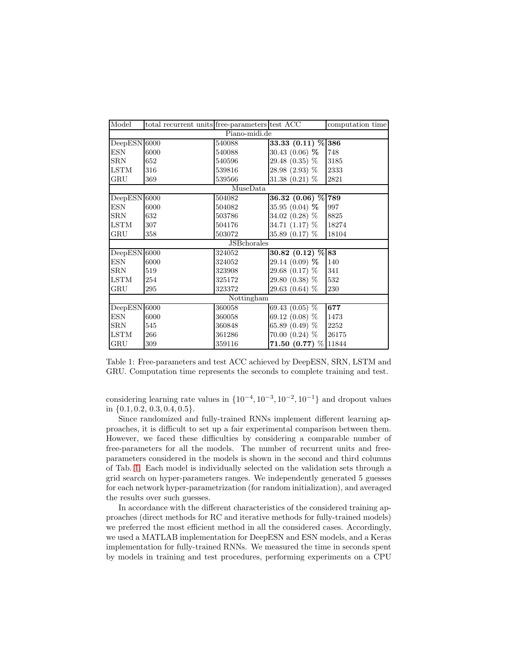<span id="page-3-0"></span>

| Model               | total recurrent units free-parameters test ACC |        |                                | computation time |
|---------------------|------------------------------------------------|--------|--------------------------------|------------------|
| Piano-midi.de       |                                                |        |                                |                  |
| $DeepESN$ 6000      |                                                | 540088 | $33.33 (0.11) \% 386$          |                  |
| <b>ESN</b>          | 6000                                           | 540088 | 30.43 $(0.06)$ %               | 748              |
| <b>SRN</b>          | 652                                            | 540596 | 29.48 (0.35) %                 | 3185             |
| LSTM                | 316                                            | 539816 | 28.98 (2.93) %                 | 2333             |
| $_{\rm GRU}$        | 369                                            | 539566 | 31.38 $(0.21)$ %               | 2821             |
| MuseData            |                                                |        |                                |                  |
| $DeepESN$ 6000      |                                                | 504082 | 36.32 (0.06) % 789             |                  |
| <b>ESN</b>          | 6000                                           | 504082 | 35.95 $(0.04)$ %               | 997              |
| <b>SRN</b>          | 632                                            | 503786 | 34.02 (0.28) %                 | 8825             |
| LSTM                | 307                                            | 504176 | 34.71 $(1.17)$ %               | 18274            |
| $_{\rm GRU}$        | 358                                            | 503072 | 35.89 $(0.17)$ %               | 18104            |
| <b>JSB</b> chorales |                                                |        |                                |                  |
| $DeepESN$ 6000      |                                                | 324052 | 30.82 $(0.\overline{12})\%$ 83 |                  |
| ESN                 | 6000                                           | 324052 | 29.14 (0.09) %                 | 140              |
| <b>SRN</b>          | 519                                            | 323908 | 29.68 (0.17) %                 | 341              |
| <b>LSTM</b>         | 254                                            | 325172 | 29.80 (0.38) %                 | 532              |
| $_{\rm GRU}$        | 295                                            | 323372 | 29.63 (0.64) %                 | 230              |
| Nottingham          |                                                |        |                                |                  |
| DeepESN 6000        |                                                | 360058 | 69.43 $(0.05)$ %               | 677              |
| <b>ESN</b>          | 6000                                           | 360058 | 69.12 (0.08) %                 | 1473             |
| $\rm SRN$           | 545                                            | 360848 | 65.89 (0.49) %                 | 2252             |
| <b>LSTM</b>         | 266                                            | 361286 | $70.00(0.24)$ %                | 26175            |
| GRU                 | 309                                            | 359116 | 71.50 (0.77) % 11844           |                  |

Table 1: Free-parameters and test ACC achieved by DeepESN, SRN, LSTM and GRU. Computation time represents the seconds to complete training and test.

considering learning rate values in  $\{10^{-4}, 10^{-3}, 10^{-2}, 10^{-1}\}$  and dropout values in  $\{0.1, 0.2, 0.3, 0.4, 0.5\}.$ 

Since randomized and fully-trained RNNs implement different learning approaches, it is difficult to set up a fair experimental comparison between them. However, we faced these difficulties by considering a comparable number of free-parameters for all the models. The number of recurrent units and freeparameters considered in the models is shown in the second and third columns of Tab. [1.](#page-3-0) Each model is individually selected on the validation sets through a grid search on hyper-parameters ranges. We independently generated 5 guesses for each network hyper-parametrization (for random initialization), and averaged the results over such guesses.

In accordance with the different characteristics of the considered training approaches (direct methods for RC and iterative methods for fully-trained models) we preferred the most efficient method in all the considered cases. Accordingly, we used a MATLAB implementation for DeepESN and ESN models, and a Keras implementation for fully-trained RNNs. We measured the time in seconds spent by models in training and test procedures, performing experiments on a CPU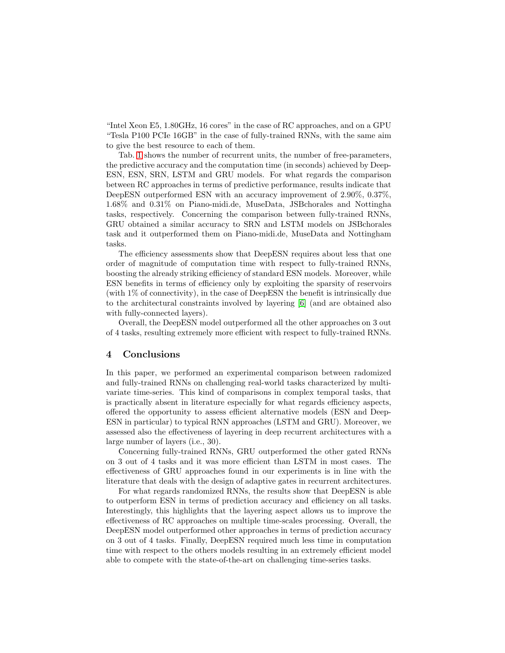"Intel Xeon E5, 1.80GHz, 16 cores" in the case of RC approaches, and on a GPU "Tesla P100 PCIe 16GB" in the case of fully-trained RNNs, with the same aim to give the best resource to each of them.

Tab. [1](#page-3-0) shows the number of recurrent units, the number of free-parameters, the predictive accuracy and the computation time (in seconds) achieved by Deep-ESN, ESN, SRN, LSTM and GRU models. For what regards the comparison between RC approaches in terms of predictive performance, results indicate that DeepESN outperformed ESN with an accuracy improvement of 2.90%, 0.37%, 1.68% and 0.31% on Piano-midi.de, MuseData, JSBchorales and Nottingha tasks, respectively. Concerning the comparison between fully-trained RNNs, GRU obtained a similar accuracy to SRN and LSTM models on JSBchorales task and it outperformed them on Piano-midi.de, MuseData and Nottingham tasks.

The efficiency assessments show that DeepESN requires about less that one order of magnitude of computation time with respect to fully-trained RNNs, boosting the already striking efficiency of standard ESN models. Moreover, while ESN benefits in terms of efficiency only by exploiting the sparsity of reservoirs (with 1% of connectivity), in the case of DeepESN the benefit is intrinsically due to the architectural constraints involved by layering [\[6\]](#page-5-5) (and are obtained also with fully-connected layers).

Overall, the DeepESN model outperformed all the other approaches on 3 out of 4 tasks, resulting extremely more efficient with respect to fully-trained RNNs.

# 4 Conclusions

In this paper, we performed an experimental comparison between radomized and fully-trained RNNs on challenging real-world tasks characterized by multivariate time-series. This kind of comparisons in complex temporal tasks, that is practically absent in literature especially for what regards efficiency aspects, offered the opportunity to assess efficient alternative models (ESN and Deep-ESN in particular) to typical RNN approaches (LSTM and GRU). Moreover, we assessed also the effectiveness of layering in deep recurrent architectures with a large number of layers (i.e., 30).

Concerning fully-trained RNNs, GRU outperformed the other gated RNNs on 3 out of 4 tasks and it was more efficient than LSTM in most cases. The effectiveness of GRU approaches found in our experiments is in line with the literature that deals with the design of adaptive gates in recurrent architectures.

For what regards randomized RNNs, the results show that DeepESN is able to outperform ESN in terms of prediction accuracy and efficiency on all tasks. Interestingly, this highlights that the layering aspect allows us to improve the effectiveness of RC approaches on multiple time-scales processing. Overall, the DeepESN model outperformed other approaches in terms of prediction accuracy on 3 out of 4 tasks. Finally, DeepESN required much less time in computation time with respect to the others models resulting in an extremely efficient model able to compete with the state-of-the-art on challenging time-series tasks.